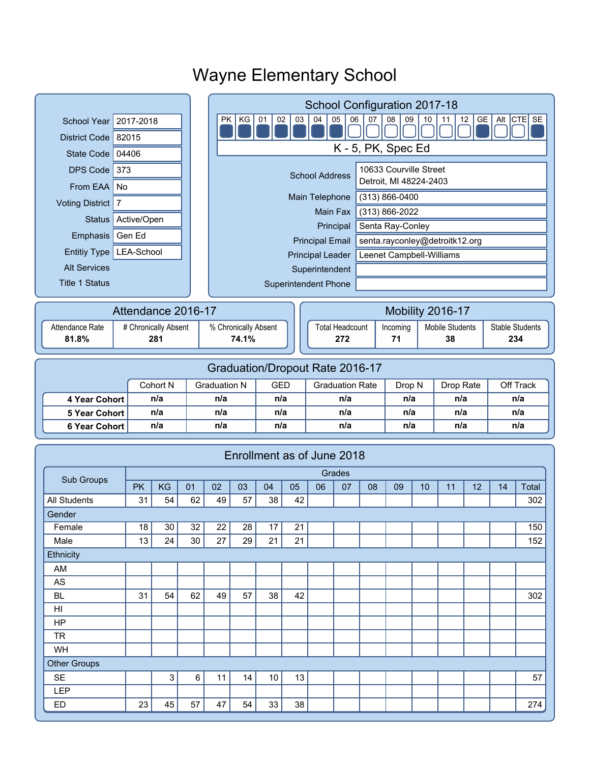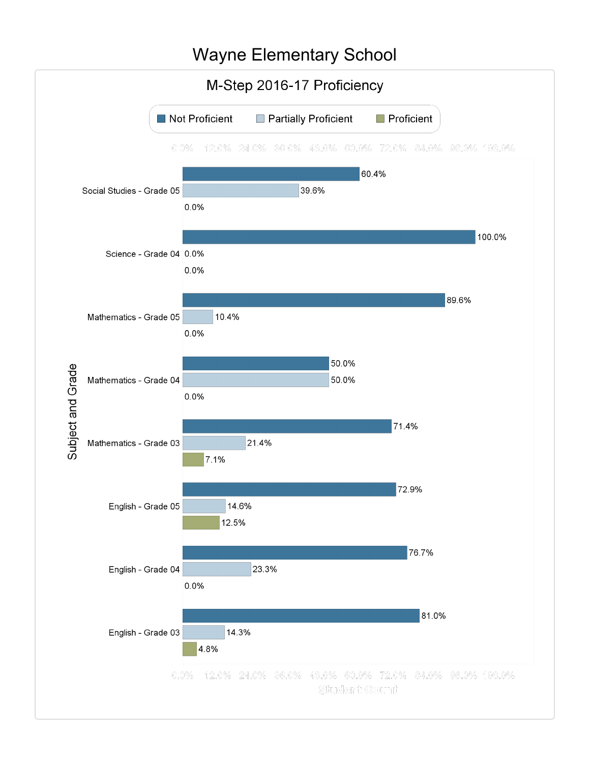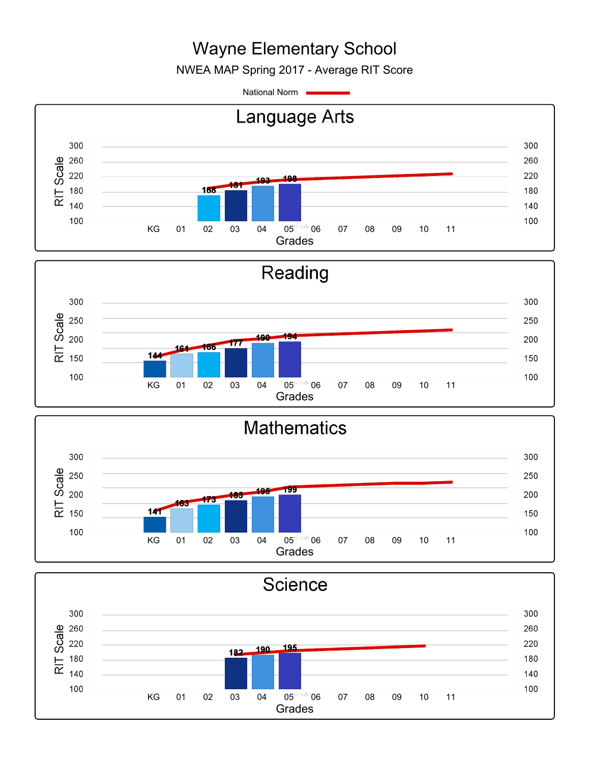NWEA MAP Spring 2017 - Average RIT Score

National Norm